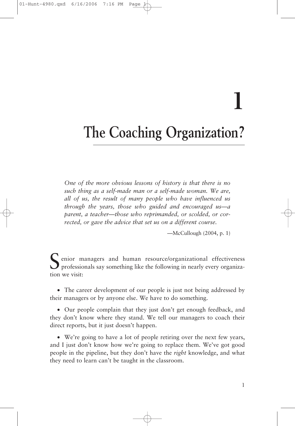*One of the more obvious lessons of history is that there is no such thing as a self-made man or a self-made woman. We are, all of us, the result of many people who have influenced us through the years, those who guided and encouraged us—a parent, a teacher—those who reprimanded, or scolded, or corrected, or gave the advice that set us on a different course.*

—McCullough (2004, p. 1)

 $S$ enior managers and human resource/organizational effectiveness<br>professionals say something like the following in nearly every organization we visit:

• The career development of our people is just not being addressed by their managers or by anyone else. We have to do something.

• Our people complain that they just don't get enough feedback, and they don't know where they stand. We tell our managers to coach their direct reports, but it just doesn't happen.

• We're going to have a lot of people retiring over the next few years, and I just don't know how we're going to replace them. We've got good people in the pipeline, but they don't have the *right* knowledge, and what they need to learn can't be taught in the classroom.

1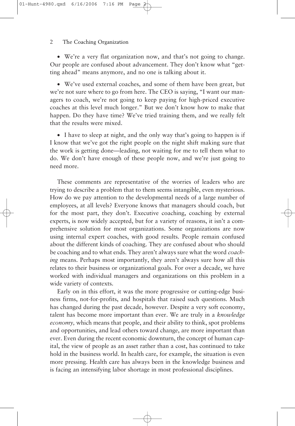• We're a very flat organization now, and that's not going to change. Our people are confused about advancement. They don't know what "getting ahead" means anymore, and no one is talking about it.

• We've used external coaches, and some of them have been great, but we're not sure where to go from here. The CEO is saying, "I want our managers to coach, we're not going to keep paying for high-priced executive coaches at this level much longer." But we don't know how to make that happen. Do they have time? We've tried training them, and we really felt that the results were mixed.

• I have to sleep at night, and the only way that's going to happen is if I know that we've got the right people on the night shift making sure that the work is getting done—leading, not waiting for me to tell them what to do. We don't have enough of these people now, and we're just going to need more.

These comments are representative of the worries of leaders who are trying to describe a problem that to them seems intangible, even mysterious. How do we pay attention to the developmental needs of a large number of employees, at all levels? Everyone knows that managers should coach, but for the most part, they don't. Executive coaching, coaching by external experts, is now widely accepted, but for a variety of reasons, it isn't a comprehensive solution for most organizations. Some organizations are now using internal expert coaches, with good results. People remain confused about the different kinds of coaching. They are confused about who should be coaching and to what ends. They aren't always sure what the word *coaching* means. Perhaps most importantly, they aren't always sure how all this relates to their business or organizational goals. For over a decade, we have worked with individual managers and organizations on this problem in a wide variety of contexts.

Early on in this effort, it was the more progressive or cutting-edge business firms, not-for-profits, and hospitals that raised such questions. Much has changed during the past decade, however. Despite a very soft economy, talent has become more important than ever. We are truly in a *knowledge economy,* which means that people, and their ability to think, spot problems and opportunities, and lead others toward change, are more important than ever. Even during the recent economic downturn, the concept of human capital, the view of people as an asset rather than a cost, has continued to take hold in the business world. In health care, for example, the situation is even more pressing. Health care has always been in the knowledge business and is facing an intensifying labor shortage in most professional disciplines.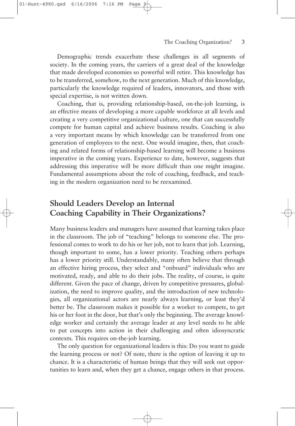Demographic trends exacerbate these challenges in all segments of society. In the coming years, the carriers of a great deal of the knowledge that made developed economies so powerful will retire. This knowledge has to be transferred, somehow, to the next generation. Much of this knowledge, particularly the knowledge required of leaders, innovators, and those with special expertise, is not written down.

Coaching, that is, providing relationship-based, on-the-job learning, is an effective means of developing a more capable workforce at all levels and creating a very competitive organizational culture, one that can successfully compete for human capital and achieve business results. Coaching is also a very important means by which knowledge can be transferred from one generation of employees to the next. One would imagine, then, that coaching and related forms of relationship-based learning will become a business imperative in the coming years. Experience to date, however, suggests that addressing this imperative will be more difficult than one might imagine. Fundamental assumptions about the role of coaching, feedback, and teaching in the modern organization need to be reexamined.

## **Should Leaders Develop an Internal Coaching Capability in Their Organizations?**

Many business leaders and managers have assumed that learning takes place in the classroom. The job of "teaching" belongs to someone else. The professional comes to work to do his or her job, not to learn that job. Learning, though important to some, has a lower priority. Teaching others perhaps has a lower priority still. Understandably, many often believe that through an effective hiring process, they select and "onboard" individuals who are motivated, ready, and able to do their jobs. The reality, of course, is quite different. Given the pace of change, driven by competitive pressures, globalization, the need to improve quality, and the introduction of new technologies, all organizational actors are nearly always learning, or least they'd better be. The classroom makes it possible for a worker to compete, to get his or her foot in the door, but that's only the beginning. The average knowledge worker and certainly the average leader at any level needs to be able to put concepts into action in their challenging and often idiosyncratic contexts. This requires on-the-job learning.

The only question for organizational leaders is this: Do you want to guide the learning process or not? Of note, there is the option of leaving it up to chance. It is a characteristic of human beings that they will seek out opportunities to learn and, when they get a chance, engage others in that process.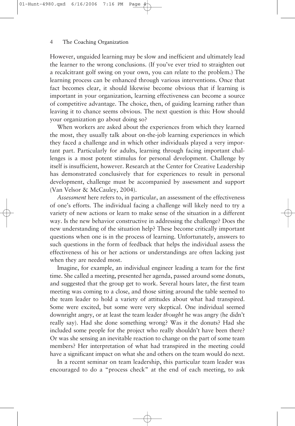However, unguided learning may be slow and inefficient and ultimately lead the learner to the wrong conclusions. (If you've ever tried to straighten out a recalcitrant golf swing on your own, you can relate to the problem.) The learning process can be enhanced through various interventions. Once that fact becomes clear, it should likewise become obvious that if learning is important in your organization, learning effectiveness can become a source of competitive advantage. The choice, then, of guiding learning rather than leaving it to chance seems obvious. The next question is this: How should your organization go about doing so?

When workers are asked about the experiences from which they learned the most, they usually talk about on-the-job learning experiences in which they faced a challenge and in which other individuals played a very important part. Particularly for adults, learning through facing important challenges is a most potent stimulus for personal development. Challenge by itself is insufficient, however. Research at the Center for Creative Leadership has demonstrated conclusively that for experiences to result in personal development, challenge must be accompanied by assessment and support (Van Velsor & McCauley, 2004).

*Assessment* here refers to, in particular, an assessment of the effectiveness of one's efforts. The individual facing a challenge will likely need to try a variety of new actions or learn to make sense of the situation in a different way. Is the new behavior constructive in addressing the challenge? Does the new understanding of the situation help? These become critically important questions when one is in the process of learning. Unfortunately, answers to such questions in the form of feedback that helps the individual assess the effectiveness of his or her actions or understandings are often lacking just when they are needed most.

Imagine, for example, an individual engineer leading a team for the first time. She called a meeting, presented her agenda, passed around some donuts, and suggested that the group get to work. Several hours later, the first team meeting was coming to a close, and those sitting around the table seemed to the team leader to hold a variety of attitudes about what had transpired. Some were excited, but some were very skeptical. One individual seemed downright angry, or at least the team leader *thought* he was angry (he didn't really say). Had she done something wrong? Was it the donuts? Had she included some people for the project who really shouldn't have been there? Or was she sensing an inevitable reaction to change on the part of some team members? Her interpretation of what had transpired in the meeting could have a significant impact on what she and others on the team would do next.

In a recent seminar on team leadership, this particular team leader was encouraged to do a "process check" at the end of each meeting, to ask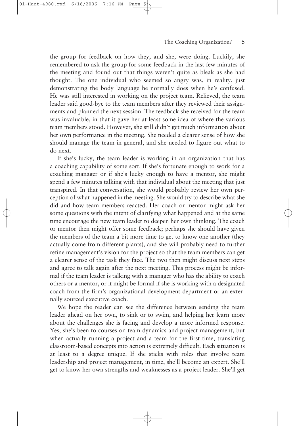the group for feedback on how they, and she, were doing. Luckily, she remembered to ask the group for some feedback in the last few minutes of the meeting and found out that things weren't quite as bleak as she had thought. The one individual who seemed so angry was, in reality, just demonstrating the body language he normally does when he's confused. He was still interested in working on the project team. Relieved, the team leader said good-bye to the team members after they reviewed their assignments and planned the next session. The feedback she received for the team was invaluable, in that it gave her at least some idea of where the various team members stood. However, she still didn't get much information about her own performance in the meeting. She needed a clearer sense of how she should manage the team in general, and she needed to figure out what to do next.

If she's lucky, the team leader is working in an organization that has a coaching capability of some sort. If she's fortunate enough to work for a coaching manager or if she's lucky enough to have a mentor, she might spend a few minutes talking with that individual about the meeting that just transpired. In that conversation, she would probably review her own perception of what happened in the meeting. She would try to describe what she did and how team members reacted. Her coach or mentor might ask her some questions with the intent of clarifying what happened and at the same time encourage the new team leader to deepen her own thinking. The coach or mentor then might offer some feedback; perhaps she should have given the members of the team a bit more time to get to know one another (they actually come from different plants), and she will probably need to further refine management's vision for the project so that the team members can get a clearer sense of the task they face. The two then might discuss next steps and agree to talk again after the next meeting. This process might be informal if the team leader is talking with a manager who has the ability to coach others or a mentor, or it might be formal if she is working with a designated coach from the firm's organizational development department or an externally sourced executive coach.

We hope the reader can see the difference between sending the team leader ahead on her own, to sink or to swim, and helping her learn more about the challenges she is facing and develop a more informed response. Yes, she's been to courses on team dynamics and project management, but when actually running a project and a team for the first time, translating classroom-based concepts into action is extremely difficult. Each situation is at least to a degree unique. If she sticks with roles that involve team leadership and project management, in time, she'll become an expert. She'll get to know her own strengths and weaknesses as a project leader. She'll get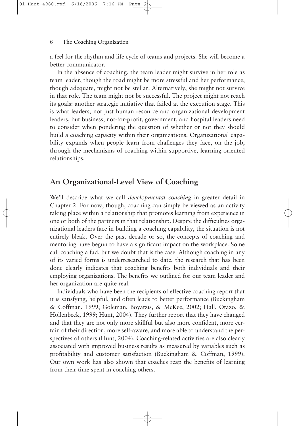a feel for the rhythm and life cycle of teams and projects. She will become a better communicator.

In the absence of coaching, the team leader might survive in her role as team leader, though the road might be more stressful and her performance, though adequate, might not be stellar. Alternatively, she might not survive in that role. The team might not be successful. The project might not reach its goals: another strategic initiative that failed at the execution stage. This is what leaders, not just human resource and organizational development leaders, but business, not-for-profit, government, and hospital leaders need to consider when pondering the question of whether or not they should build a coaching capacity within their organizations. Organizational capability expands when people learn from challenges they face, on the job, through the mechanisms of coaching within supportive, learning-oriented relationships.

### **An Organizational-Level View of Coaching**

We'll describe what we call *developmental coaching* in greater detail in Chapter 2. For now, though, coaching can simply be viewed as an activity taking place within a relationship that promotes learning from experience in one or both of the partners in that relationship. Despite the difficulties organizational leaders face in building a coaching capability, the situation is not entirely bleak. Over the past decade or so, the concepts of coaching and mentoring have begun to have a significant impact on the workplace. Some call coaching a fad, but we doubt that is the case. Although coaching in any of its varied forms is underresearched to date, the research that has been done clearly indicates that coaching benefits both individuals and their employing organizations. The benefits we outlined for our team leader and her organization are quite real.

Individuals who have been the recipients of effective coaching report that it is satisfying, helpful, and often leads to better performance (Buckingham & Coffman, 1999; Goleman, Boyatzis, & McKee, 2002; Hall, Otazo, & Hollenbeck, 1999; Hunt, 2004). They further report that they have changed and that they are not only more skillful but also more confident, more certain of their direction, more self-aware, and more able to understand the perspectives of others (Hunt, 2004). Coaching-related activities are also clearly associated with improved business results as measured by variables such as profitability and customer satisfaction (Buckingham & Coffman, 1999). Our own work has also shown that coaches reap the benefits of learning from their time spent in coaching others.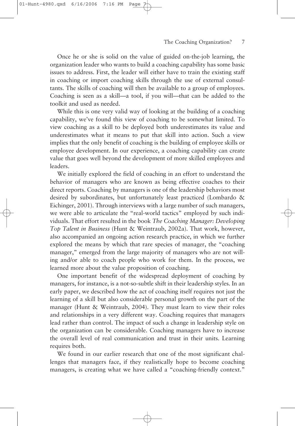Once he or she is solid on the value of guided on-the-job learning, the organization leader who wants to build a coaching capability has some basic issues to address. First, the leader will either have to train the existing staff in coaching or import coaching skills through the use of external consultants. The skills of coaching will then be available to a group of employees. Coaching is seen as a skill—a tool, if you will—that can be added to the toolkit and used as needed.

While this is one very valid way of looking at the building of a coaching capability, we've found this view of coaching to be somewhat limited. To view coaching as a skill to be deployed both underestimates its value and underestimates what it means to put that skill into action. Such a view implies that the only benefit of coaching is the building of employee skills or employee development. In our experience, a coaching capability can create value that goes well beyond the development of more skilled employees and leaders.

We initially explored the field of coaching in an effort to understand the behavior of managers who are known as being effective coaches to their direct reports. Coaching by managers is one of the leadership behaviors most desired by subordinates, but unfortunately least practiced (Lombardo & Eichinger, 2001). Through interviews with a large number of such managers, we were able to articulate the "real-world tactics" employed by such individuals. That effort resulted in the book *The Coaching Manager: Developing Top Talent in Business* (Hunt & Weintraub, 2002a). That work, however, also accompanied an ongoing action research practice, in which we further explored the means by which that rare species of manager, the "coaching manager," emerged from the large majority of managers who are not willing and/or able to coach people who work for them. In the process, we learned more about the value proposition of coaching.

One important benefit of the widespread deployment of coaching by managers, for instance, is a not-so-subtle shift in their leadership styles. In an early paper, we described how the act of coaching itself requires not just the learning of a skill but also considerable personal growth on the part of the manager (Hunt & Weintraub, 2004). They must learn to view their roles and relationships in a very different way. Coaching requires that managers lead rather than control. The impact of such a change in leadership style on the organization can be considerable. Coaching managers have to increase the overall level of real communication and trust in their units. Learning requires both.

We found in our earlier research that one of the most significant challenges that managers face, if they realistically hope to become coaching managers, is creating what we have called a "coaching-friendly context."

### $01$ -Hunt-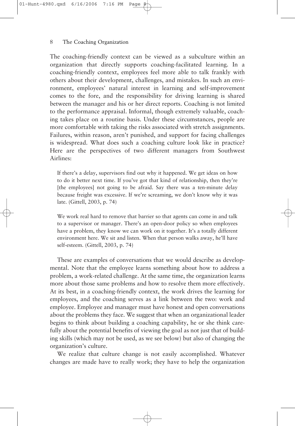The coaching-friendly context can be viewed as a subculture within an organization that directly supports coaching-facilitated learning. In a coaching-friendly context, employees feel more able to talk frankly with others about their development, challenges, and mistakes. In such an environment, employees' natural interest in learning and self-improvement comes to the fore, and the responsibility for driving learning is shared between the manager and his or her direct reports. Coaching is not limited to the performance appraisal. Informal, though extremely valuable, coaching takes place on a routine basis. Under these circumstances, people are more comfortable with taking the risks associated with stretch assignments. Failures, within reason, aren't punished, and support for facing challenges is widespread. What does such a coaching culture look like in practice? Here are the perspectives of two different managers from Southwest Airlines:

If there's a delay, supervisors find out why it happened. We get ideas on how to do it better next time. If you've got that kind of relationship, then they're [the employees] not going to be afraid. Say there was a ten-minute delay because freight was excessive. If we're screaming, we don't know why it was late. (Gittell, 2003, p. 74)

We work real hard to remove that barrier so that agents can come in and talk to a supervisor or manager. There's an open-door policy so when employees have a problem, they know we can work on it together. It's a totally different environment here. We sit and listen. When that person walks away, he'll have self-esteem. (Gittell, 2003, p. 74)

These are examples of conversations that we would describe as developmental. Note that the employee learns something about how to address a problem, a work-related challenge. At the same time, the organization learns more about those same problems and how to resolve them more effectively. At its best, in a coaching-friendly context, the work drives the learning for employees, and the coaching serves as a link between the two: work and employee. Employee and manager must have honest and open conversations about the problems they face. We suggest that when an organizational leader begins to think about building a coaching capability, he or she think carefully about the potential benefits of viewing the goal as not just that of building skills (which may not be used, as we see below) but also of changing the organization's culture.

We realize that culture change is not easily accomplished. Whatever changes are made have to really work; they have to help the organization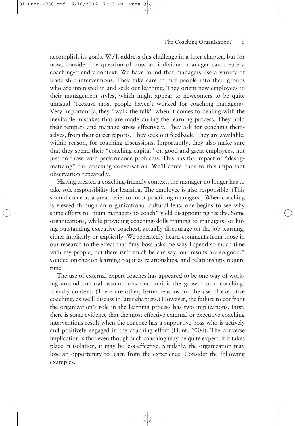accomplish its goals. We'll address this challenge in a later chapter, but for now, consider the question of how an individual manager can create a coaching-friendly context. We have found that managers use a variety of leadership interventions. They take care to hire people into their groups who are interested in and seek out learning. They orient new employees to their management styles, which might appear to newcomers to be quite unusual (because most people haven't worked for coaching managers). Very importantly, they "walk the talk" when it comes to dealing with the inevitable mistakes that are made during the learning process. They hold their tempers and manage stress effectively. They ask for coaching themselves, from their direct reports. They seek out feedback. They are available, within reason, for coaching discussions. Importantly, they also make sure that they spend their "coaching capital" on good and great employees, not just on those with performance problems. This has the impact of "destigmatizing" the coaching conversation. We'll come back to this important observation repeatedly.

Having created a coaching-friendly context, the manager no longer has to take sole responsibility for learning. The employee is also responsible. (This should come as a great relief to most practicing managers.) When coaching is viewed through an organizational cultural lens, one begins to see why some efforts to "train managers to coach" yield disappointing results. Some organizations, while providing coaching-skills training to managers (or hiring outstanding executive coaches), actually discourage on-the-job learning, either implicitly or explicitly. We repeatedly heard comments from those in our research to the effect that "my boss asks me why I spend so much time with my people, but there isn't much he can say, our results are so good." Guided on-the-job learning requires relationships, and relationships require time.

The use of external expert coaches has appeared to be one way of working around cultural assumptions that inhibit the growth of a coachingfriendly context. (There are other, better reasons for the use of executive coaching, as we'll discuss in later chapters.) However, the failure to confront the organization's role in the learning process has two implications. First, there is some evidence that the most effective external or executive coaching interventions result when the coachee has a supportive boss who is actively and positively engaged in the coaching effort (Hunt, 2004). The converse implication is that even though such coaching may be quite expert, if it takes place in isolation, it may be less effective. Similarly, the organization may lose an opportunity to learn from the experience. Consider the following examples.

### $01$ -Hunt-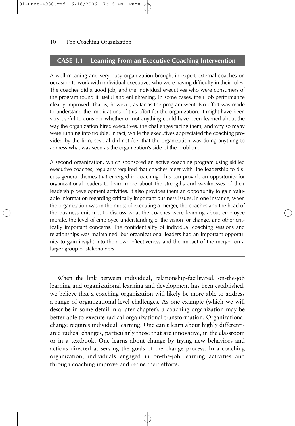### **CASE 1.1 Learning From an Executive Coaching Intervention**

A well-meaning and very busy organization brought in expert external coaches on occasion to work with individual executives who were having difficulty in their roles. The coaches did a good job, and the individual executives who were consumers of the program found it useful and enlightening. In some cases, their job performance clearly improved. That is, however, as far as the program went. No effort was made to understand the implications of this effort for the organization. It might have been very useful to consider whether or not anything could have been learned about the way the organization hired executives, the challenges facing them, and why so many were running into trouble. In fact, while the executives appreciated the coaching provided by the firm, several did not feel that the organization was doing anything to address what was seen as the organization's side of the problem.

A second organization, which sponsored an active coaching program using skilled executive coaches, regularly required that coaches meet with line leadership to discuss general themes that emerged in coaching. This can provide an opportunity for organizational leaders to learn more about the strengths and weaknesses of their leadership development activities. It also provides them an opportunity to gain valuable information regarding critically important business issues. In one instance, when the organization was in the midst of executing a merger, the coaches and the head of the business unit met to discuss what the coaches were learning about employee morale, the level of employee understanding of the vision for change, and other critically important concerns. The confidentiality of individual coaching sessions and relationships was maintained, but organizational leaders had an important opportunity to gain insight into their own effectiveness and the impact of the merger on a larger group of stakeholders.

When the link between individual, relationship-facilitated, on-the-job learning and organizational learning and development has been established, we believe that a coaching organization will likely be more able to address a range of organizational-level challenges. As one example (which we will describe in some detail in a later chapter), a coaching organization may be better able to execute radical organizational transformation. Organizational change requires individual learning. One can't learn about highly differentiated radical changes, particularly those that are innovative, in the classroom or in a textbook. One learns about change by trying new behaviors and actions directed at serving the goals of the change process. In a coaching organization, individuals engaged in on-the-job learning activities and through coaching improve and refine their efforts.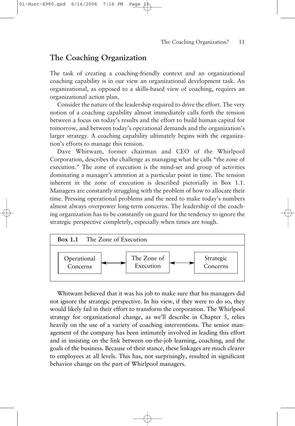The task of creating a coaching-friendly context and an organizational coaching capability is in our view an organizational development task. An organizational, as opposed to a skills-based view of coaching, requires an organizational action plan.

Consider the nature of the leadership required to drive the effort. The very notion of a coaching capability almost immediately calls forth the tension between a focus on today's results and the effort to build human capital for tomorrow, and between today's operational demands and the organization's larger strategy. A coaching capability ultimately begins with the organization's efforts to manage this tension.

Dave Whitwam, former chairman and CEO of the Whirlpool Corporation, describes the challenge as managing what he calls "the zone of execution." The zone of execution is the mind-set and group of activities dominating a manager's attention at a particular point in time. The tension inherent in the zone of execution is described pictorially in Box 1.1. Managers are constantly struggling with the problem of how to allocate their time. Pressing operational problems and the need to make today's numbers almost always overpower long-term concerns. The leadership of the coaching organization has to be constantly on guard for the tendency to ignore the strategic perspective completely, especially when times are tough.



Whitwam believed that it was his job to make sure that his managers did not ignore the strategic perspective. In his view, if they were to do so, they would likely fail in their effort to transform the corporation. The Whirlpool strategy for organizational change, as we'll describe in Chapter 5, relies heavily on the use of a variety of coaching interventions. The senior management of the company has been intimately involved in leading this effort and in insisting on the link between on-the-job learning, coaching, and the goals of the business. Because of their stance, these linkages are much clearer to employees at all levels. This has, not surprisingly, resulted in significant behavior change on the part of Whirlpool managers.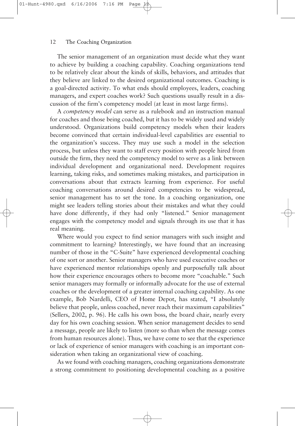The senior management of an organization must decide what they want to achieve by building a coaching capability. Coaching organizations tend to be relatively clear about the kinds of skills, behaviors, and attitudes that they believe are linked to the desired organizational outcomes. Coaching is a goal-directed activity. To what ends should employees, leaders, coaching managers, and expert coaches work? Such questions usually result in a discussion of the firm's competency model (at least in most large firms).

A *competency model* can serve as a rulebook and an instruction manual for coaches and those being coached, but it has to be widely used and widely understood. Organizations build competency models when their leaders become convinced that certain individual-level capabilities are essential to the organization's success. They may use such a model in the selection process, but unless they want to staff every position with people hired from outside the firm, they need the competency model to serve as a link between individual development and organizational need. Development requires learning, taking risks, and sometimes making mistakes, and participation in conversations about that extracts learning from experience. For useful coaching conversations around desired competencies to be widespread, senior management has to set the tone. In a coaching organization, one might see leaders telling stories about their mistakes and what they could have done differently, if they had only "listened." Senior management engages with the competency model and signals through its use that it has real meaning.

Where would you expect to find senior managers with such insight and commitment to learning? Interestingly, we have found that an increasing number of those in the "C-Suite" have experienced developmental coaching of one sort or another. Senior managers who have used executive coaches or have experienced mentor relationships openly and purposefully talk about how their experience encourages others to become more "coachable." Such senior managers may formally or informally advocate for the use of external coaches or the development of a greater internal coaching capability. As one example, Bob Nardelli, CEO of Home Depot, has stated, "I absolutely believe that people, unless coached, never reach their maximum capabilities" (Sellers, 2002, p. 96). He calls his own boss, the board chair, nearly every day for his own coaching session. When senior management decides to send a message, people are likely to listen (more so than when the message comes from human resources alone). Thus, we have come to see that the experience or lack of experience of senior managers with coaching is an important consideration when taking an organizational view of coaching.

As we found with coaching managers, coaching organizations demonstrate a strong commitment to positioning developmental coaching as a positive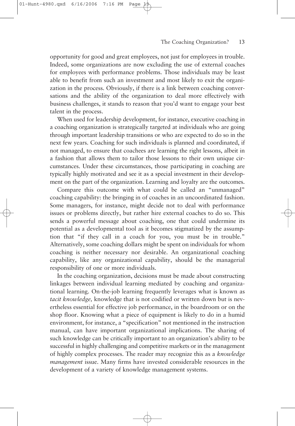opportunity for good and great employees, not just for employees in trouble. Indeed, some organizations are now excluding the use of external coaches for employees with performance problems. Those individuals may be least able to benefit from such an investment and most likely to exit the organization in the process. Obviously, if there is a link between coaching conversations and the ability of the organization to deal more effectively with business challenges, it stands to reason that you'd want to engage your best talent in the process.

 $01$ -Hunt

When used for leadership development, for instance, executive coaching in a coaching organization is strategically targeted at individuals who are going through important leadership transitions or who are expected to do so in the next few years. Coaching for such individuals is planned and coordinated, if not managed, to ensure that coachees are learning the right lessons, albeit in a fashion that allows them to tailor those lessons to their own unique circumstances. Under these circumstances, those participating in coaching are typically highly motivated and see it as a special investment in their development on the part of the organization. Learning and loyalty are the outcomes.

Compare this outcome with what could be called an "unmanaged" coaching capability: the bringing in of coaches in an uncoordinated fashion. Some managers, for instance, might decide not to deal with performance issues or problems directly, but rather hire external coaches to do so. This sends a powerful message about coaching, one that could undermine its potential as a developmental tool as it becomes stigmatized by the assumption that "if they call in a coach for you, you must be in trouble." Alternatively, some coaching dollars might be spent on individuals for whom coaching is neither necessary nor desirable. An organizational coaching capability, like any organizational capability, should be the managerial responsibility of one or more individuals.

In the coaching organization, decisions must be made about constructing linkages between individual learning mediated by coaching and organizational learning. On-the-job learning frequently leverages what is known as *tacit knowledge,* knowledge that is not codified or written down but is nevertheless essential for effective job performance, in the boardroom or on the shop floor. Knowing what a piece of equipment is likely to do in a humid environment, for instance, a "specification" not mentioned in the instruction manual, can have important organizational implications. The sharing of such knowledge can be critically important to an organization's ability to be successful in highly challenging and competitive markets or in the management of highly complex processes. The reader may recognize this as a *knowledge management* issue. Many firms have invested considerable resources in the development of a variety of knowledge management systems.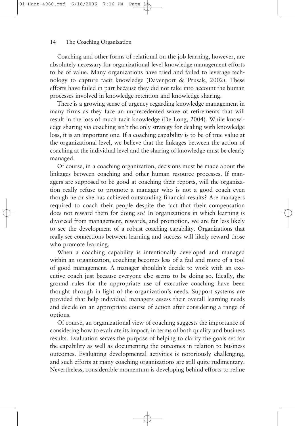Coaching and other forms of relational on-the-job learning, however, are absolutely necessary for organizational-level knowledge management efforts to be of value. Many organizations have tried and failed to leverage technology to capture tacit knowledge (Davenport & Prusak, 2002). These efforts have failed in part because they did not take into account the human processes involved in knowledge retention and knowledge sharing.

There is a growing sense of urgency regarding knowledge management in many firms as they face an unprecedented wave of retirements that will result in the loss of much tacit knowledge (De Long, 2004). While knowledge sharing via coaching isn't the only strategy for dealing with knowledge loss, it is an important one. If a coaching capability is to be of true value at the organizational level, we believe that the linkages between the action of coaching at the individual level and the sharing of knowledge must be clearly managed.

Of course, in a coaching organization, decisions must be made about the linkages between coaching and other human resource processes. If managers are supposed to be good at coaching their reports, will the organization really refuse to promote a manager who is not a good coach even though he or she has achieved outstanding financial results? Are managers required to coach their people despite the fact that their compensation does not reward them for doing so? In organizations in which learning is divorced from management, rewards, and promotion, we are far less likely to see the development of a robust coaching capability. Organizations that really see connections between learning and success will likely reward those who promote learning.

When a coaching capability is intentionally developed and managed within an organization, coaching becomes less of a fad and more of a tool of good management. A manager shouldn't decide to work with an executive coach just because everyone else seems to be doing so. Ideally, the ground rules for the appropriate use of executive coaching have been thought through in light of the organization's needs. Support systems are provided that help individual managers assess their overall learning needs and decide on an appropriate course of action after considering a range of options.

Of course, an organizational view of coaching suggests the importance of considering how to evaluate its impact, in terms of both quality and business results. Evaluation serves the purpose of helping to clarify the goals set for the capability as well as documenting the outcomes in relation to business outcomes. Evaluating developmental activities is notoriously challenging, and such efforts at many coaching organizations are still quite rudimentary. Nevertheless, considerable momentum is developing behind efforts to refine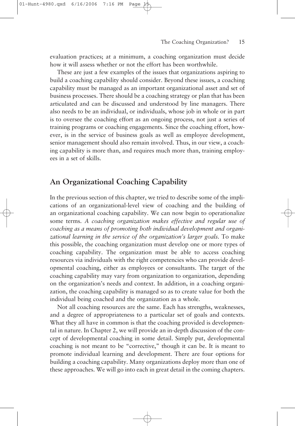evaluation practices; at a minimum, a coaching organization must decide how it will assess whether or not the effort has been worthwhile.

These are just a few examples of the issues that organizations aspiring to build a coaching capability should consider. Beyond these issues, a coaching capability must be managed as an important organizational asset and set of business processes. There should be a coaching strategy or plan that has been articulated and can be discussed and understood by line managers. There also needs to be an individual, or individuals, whose job in whole or in part is to oversee the coaching effort as an ongoing process, not just a series of training programs or coaching engagements. Since the coaching effort, however, is in the service of business goals as well as employee development, senior management should also remain involved. Thus, in our view, a coaching capability is more than, and requires much more than, training employees in a set of skills.

## **An Organizational Coaching Capability**

In the previous section of this chapter, we tried to describe some of the implications of an organizational-level view of coaching and the building of an organizational coaching capability. We can now begin to operationalize some terms. *A coaching organization makes effective and regular use of coaching as a means of promoting both individual development and organizational learning in the service of the organization's larger goals.* To make this possible, the coaching organization must develop one or more types of coaching capability. The organization must be able to access coaching resources via individuals with the right competencies who can provide developmental coaching, either as employees or consultants. The target of the coaching capability may vary from organization to organization, depending on the organization's needs and context. In addition, in a coaching organization, the coaching capability is managed so as to create value for both the individual being coached and the organization as a whole.

Not all coaching resources are the same. Each has strengths, weaknesses, and a degree of appropriateness to a particular set of goals and contexts. What they all have in common is that the coaching provided is developmental in nature. In Chapter 2, we will provide an in-depth discussion of the concept of developmental coaching in some detail. Simply put, developmental coaching is not meant to be "corrective," though it can be. It is meant to promote individual learning and development. There are four options for building a coaching capability. Many organizations deploy more than one of these approaches. We will go into each in great detail in the coming chapters.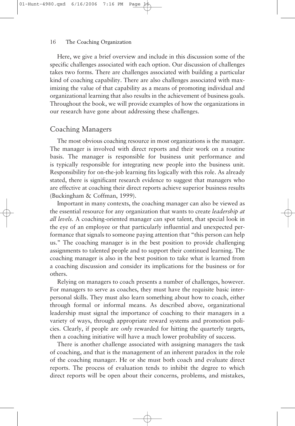Here, we give a brief overview and include in this discussion some of the specific challenges associated with each option. Our discussion of challenges takes two forms. There are challenges associated with building a particular kind of coaching capability. There are also challenges associated with maximizing the value of that capability as a means of promoting individual and organizational learning that also results in the achievement of business goals. Throughout the book, we will provide examples of how the organizations in our research have gone about addressing these challenges.

### Coaching Managers

The most obvious coaching resource in most organizations is the manager. The manager is involved with direct reports and their work on a routine basis. The manager is responsible for business unit performance and is typically responsible for integrating new people into the business unit. Responsibility for on-the-job learning fits logically with this role. As already stated, there is significant research evidence to suggest that managers who are effective at coaching their direct reports achieve superior business results (Buckingham & Coffman, 1999).

Important in many contexts, the coaching manager can also be viewed as the essential resource for any organization that wants to create *leadership at all levels.* A coaching-oriented manager can spot talent, that special look in the eye of an employee or that particularly influential and unexpected performance that signals to someone paying attention that "this person can help us." The coaching manager is in the best position to provide challenging assignments to talented people and to support their continued learning. The coaching manager is also in the best position to take what is learned from a coaching discussion and consider its implications for the business or for others.

Relying on managers to coach presents a number of challenges, however. For managers to serve as coaches, they must have the requisite basic interpersonal skills. They must also learn something about how to coach, either through formal or informal means. As described above, organizational leadership must signal the importance of coaching to their managers in a variety of ways, through appropriate reward systems and promotion policies. Clearly, if people are *only* rewarded for hitting the quarterly targets, then a coaching initiative will have a much lower probability of success.

There is another challenge associated with assigning managers the task of coaching, and that is the management of an inherent paradox in the role of the coaching manager. He or she must both coach and evaluate direct reports. The process of evaluation tends to inhibit the degree to which direct reports will be open about their concerns, problems, and mistakes,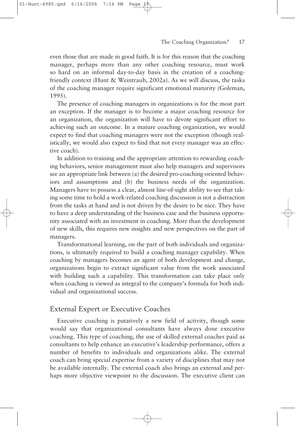even those that are made in good faith. It is for this reason that the coaching manager, perhaps more than any other coaching resource, must work so hard on an informal day-to-day basis in the creation of a coachingfriendly context (Hunt & Weintraub, 2002a). As we will discuss, the tasks of the coaching manager require significant emotional maturity (Goleman, 1995).

 $01-Hunt$ 

The presence of coaching managers in organizations is for the most part an exception. If the manager is to become a major coaching resource for an organization, the organization will have to devote significant effort to achieving such an outcome. In a mature coaching organization, we would expect to find that coaching managers were not the exception (though realistically, we would also expect to find that not every manager was an effective coach).

In addition to training and the appropriate attention to rewarding coaching behaviors, senior management must also help managers and supervisors see an appropriate link between (a) the desired pro-coaching-oriented behaviors and assumptions and (b) the business needs of the organization. Managers have to possess a clear, almost line-of-sight ability to see that taking some time to hold a work-related coaching discussion is not a distraction from the tasks at hand and is not driven by the desire to be nice. They have to have a deep understanding of the business case and the business opportunity associated with an investment in coaching. More than the development of new skills, this requires new insights and new perspectives on the part of managers.

Transformational learning, on the part of both individuals and organizations, is ultimately required to build a coaching manager capability. When coaching by managers becomes an agent of both development and change, organizations begin to extract significant value from the work associated with building such a capability. This transformation can take place only when coaching is viewed as integral to the company's formula for both individual and organizational success.

### External Expert or Executive Coaches

Executive coaching is putatively a new field of activity, though some would say that organizational consultants have always done executive coaching. This type of coaching, the use of skilled external coaches paid as consultants to help enhance an executive's leadership performance, offers a number of benefits to individuals and organizations alike. The external coach can bring special expertise from a variety of disciplines that may not be available internally. The external coach also brings an external and perhaps more objective viewpoint to the discussion. The executive client can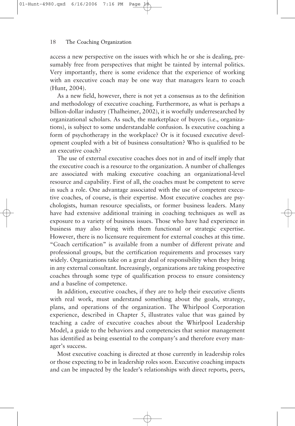access a new perspective on the issues with which he or she is dealing, presumably free from perspectives that might be tainted by internal politics. Very importantly, there is some evidence that the experience of working with an executive coach may be one way that managers learn to coach (Hunt, 2004).

As a new field, however, there is not yet a consensus as to the definition and methodology of executive coaching. Furthermore, as what is perhaps a billion-dollar industry (Thalheimer, 2002), it is woefully underresearched by organizational scholars. As such, the marketplace of buyers (i.e., organizations), is subject to some understandable confusion. Is executive coaching a form of psychotherapy in the workplace? Or is it focused executive development coupled with a bit of business consultation? Who is qualified to be an executive coach?

The use of external executive coaches does not in and of itself imply that the executive coach is a resource to the organization. A number of challenges are associated with making executive coaching an organizational-level resource and capability. First of all, the coaches must be competent to serve in such a role. One advantage associated with the use of competent executive coaches, of course, is their expertise. Most executive coaches are psychologists, human resource specialists, or former business leaders. Many have had extensive additional training in coaching techniques as well as exposure to a variety of business issues. Those who have had experience in business may also bring with them functional or strategic expertise. However, there is no licensure requirement for external coaches at this time. "Coach certification" is available from a number of different private and professional groups, but the certification requirements and processes vary widely. Organizations take on a great deal of responsibility when they bring in any external consultant. Increasingly, organizations are taking prospective coaches through some type of qualification process to ensure consistency and a baseline of competence.

In addition, executive coaches, if they are to help their executive clients with real work, must understand something about the goals, strategy, plans, and operations of the organization. The Whirlpool Corporation experience, described in Chapter 5, illustrates value that was gained by teaching a cadre of executive coaches about the Whirlpool Leadership Model, a guide to the behaviors and competencies that senior management has identified as being essential to the company's and therefore every manager's success.

Most executive coaching is directed at those currently in leadership roles or those expecting to be in leadership roles soon. Executive coaching impacts and can be impacted by the leader's relationships with direct reports, peers,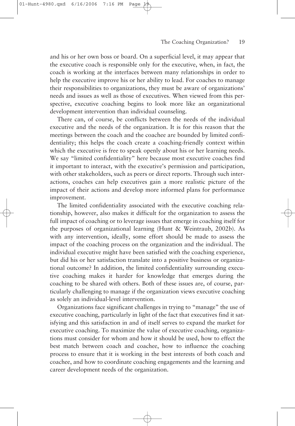and his or her own boss or board. On a superficial level, it may appear that the executive coach is responsible only for the executive, when, in fact, the coach is working at the interfaces between many relationships in order to help the executive improve his or her ability to lead. For coaches to manage their responsibilities to organizations, they must be aware of organizations' needs and issues as well as those of executives. When viewed from this perspective, executive coaching begins to look more like an organizational development intervention than individual counseling.

There can, of course, be conflicts between the needs of the individual executive and the needs of the organization. It is for this reason that the meetings between the coach and the coachee are bounded by limited confidentiality; this helps the coach create a coaching-friendly context within which the executive is free to speak openly about his or her learning needs. We say "limited confidentiality" here because most executive coaches find it important to interact, with the executive's permission and participation, with other stakeholders, such as peers or direct reports. Through such interactions, coaches can help executives gain a more realistic picture of the impact of their actions and develop more informed plans for performance improvement.

The limited confidentiality associated with the executive coaching relationship, however, also makes it difficult for the organization to assess the full impact of coaching or to leverage issues that emerge in coaching itself for the purposes of organizational learning (Hunt & Weintraub, 2002b). As with any intervention, ideally, some effort should be made to assess the impact of the coaching process on the organization and the individual. The individual executive might have been satisfied with the coaching experience, but did his or her satisfaction translate into a positive business or organizational outcome? In addition, the limited confidentiality surrounding executive coaching makes it harder for knowledge that emerges during the coaching to be shared with others. Both of these issues are, of course, particularly challenging to manage if the organization views executive coaching as solely an individual-level intervention.

Organizations face significant challenges in trying to "manage" the use of executive coaching, particularly in light of the fact that executives find it satisfying and this satisfaction in and of itself serves to expand the market for executive coaching. To maximize the value of executive coaching, organizations must consider for whom and how it should be used, how to effect the best match between coach and coachee, how to influence the coaching process to ensure that it is working in the best interests of both coach and coachee, and how to coordinate coaching engagements and the learning and career development needs of the organization.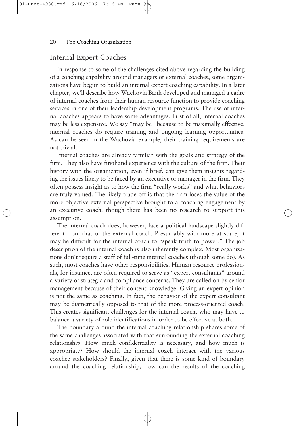### Internal Expert Coaches

In response to some of the challenges cited above regarding the building of a coaching capability around managers or external coaches, some organizations have begun to build an internal expert coaching capability. In a later chapter, we'll describe how Wachovia Bank developed and managed a cadre of internal coaches from their human resource function to provide coaching services in one of their leadership development programs. The use of internal coaches appears to have some advantages. First of all, internal coaches may be less expensive. We say "may be" because to be maximally effective, internal coaches do require training and ongoing learning opportunities. As can be seen in the Wachovia example, their training requirements are not trivial.

Internal coaches are already familiar with the goals and strategy of the firm. They also have firsthand experience with the culture of the firm. Their history with the organization, even if brief, can give them insights regarding the issues likely to be faced by an executive or manager in the firm. They often possess insight as to how the firm "really works" and what behaviors are truly valued. The likely trade-off is that the firm loses the value of the more objective external perspective brought to a coaching engagement by an executive coach, though there has been no research to support this assumption.

The internal coach does, however, face a political landscape slightly different from that of the external coach. Presumably with more at stake, it may be difficult for the internal coach to "speak truth to power." The job description of the internal coach is also inherently complex. Most organizations don't require a staff of full-time internal coaches (though some do). As such, most coaches have other responsibilities. Human resource professionals, for instance, are often required to serve as "expert consultants" around a variety of strategic and compliance concerns. They are called on by senior management because of their content knowledge. Giving an expert opinion is not the same as coaching. In fact, the behavior of the expert consultant may be diametrically opposed to that of the more process-oriented coach. This creates significant challenges for the internal coach, who may have to balance a variety of role identifications in order to be effective at both.

The boundary around the internal coaching relationship shares some of the same challenges associated with that surrounding the external coaching relationship. How much confidentiality is necessary, and how much is appropriate? How should the internal coach interact with the various coachee stakeholders? Finally, given that there is some kind of boundary around the coaching relationship, how can the results of the coaching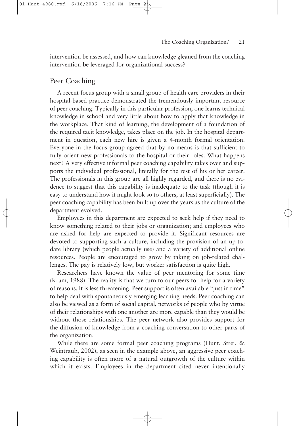intervention be assessed, and how can knowledge gleaned from the coaching intervention be leveraged for organizational success?

### Peer Coaching

A recent focus group with a small group of health care providers in their hospital-based practice demonstrated the tremendously important resource of peer coaching. Typically in this particular profession, one learns technical knowledge in school and very little about how to apply that knowledge in the workplace. That kind of learning, the development of a foundation of the required tacit knowledge, takes place on the job. In the hospital department in question, each new hire is given a 4-month formal orientation. Everyone in the focus group agreed that by no means is that sufficient to fully orient new professionals to the hospital or their roles. What happens next? A very effective informal peer coaching capability takes over and supports the individual professional, literally for the rest of his or her career. The professionals in this group are all highly regarded, and there is no evidence to suggest that this capability is inadequate to the task (though it is easy to understand how it might look so to others, at least superficially). The peer coaching capability has been built up over the years as the culture of the department evolved.

Employees in this department are expected to seek help if they need to know something related to their jobs or organization; and employees who are asked for help are expected to provide it. Significant resources are devoted to supporting such a culture, including the provision of an up-todate library (which people actually use) and a variety of additional online resources. People are encouraged to grow by taking on job-related challenges. The pay is relatively low, but worker satisfaction is quite high.

Researchers have known the value of peer mentoring for some time (Kram, 1988). The reality is that we turn to our peers for help for a variety of reasons. It is less threatening. Peer support is often available "just in time" to help deal with spontaneously emerging learning needs. Peer coaching can also be viewed as a form of social capital, networks of people who by virtue of their relationships with one another are more capable than they would be without those relationships. The peer network also provides support for the diffusion of knowledge from a coaching conversation to other parts of the organization.

While there are some formal peer coaching programs (Hunt, Strei, & Weintraub, 2002), as seen in the example above, an aggressive peer coaching capability is often more of a natural outgrowth of the culture within which it exists. Employees in the department cited never intentionally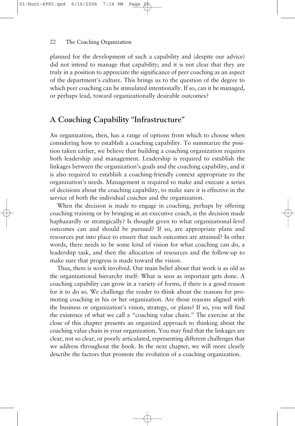planned for the development of such a capability and (despite our advice) did not intend to manage that capability; and it is not clear that they are truly in a position to appreciate the significance of peer coaching as an aspect of the department's culture. This brings us to the question of the degree to which peer coaching can be stimulated intentionally. If so, can it be managed, or perhaps lead, toward organizationally desirable outcomes?

### **A Coaching Capability "Infrastructure"**

An organization, then, has a range of options from which to choose when considering how to establish a coaching capability. To summarize the position taken earlier, we believe that building a coaching organization requires both leadership and management. Leadership is required to establish the linkages between the organization's goals and the coaching capability, and it is also required to establish a coaching-friendly context appropriate to the organization's needs. Management is required to make and execute a series of decisions about the coaching capability, to make sure it is effective in the service of both the individual coachee and the organization.

When the decision is made to engage in coaching, perhaps by offering coaching training or by bringing in an executive coach, is the decision made haphazardly or strategically? Is thought given to what organizational-level outcomes can and should be pursued? If so, are appropriate plans and resources put into place to ensure that such outcomes are attained? In other words, there needs to be some kind of vision for what coaching can do, a leadership task, and then the allocation of resources and the follow-up to make sure that progress is made toward the vision.

Thus, there is work involved. Our main belief about that work is as old as the organizational hierarchy itself: What is seen as important gets done. A coaching capability can grow in a variety of forms, if there is a good reason for it to do so. We challenge the reader to think about the reasons for promoting coaching in his or her organization. Are those reasons aligned with the business or organization's vision, strategy, or plans? If so, you will find the existence of what we call a "coaching value chain." The exercise at the close of this chapter presents an organized approach to thinking about the coaching value chain in your organization. You may find that the linkages are clear, not so clear, or poorly articulated, representing different challenges that we address throughout the book. In the next chapter, we will more clearly describe the factors that promote the evolution of a coaching organization.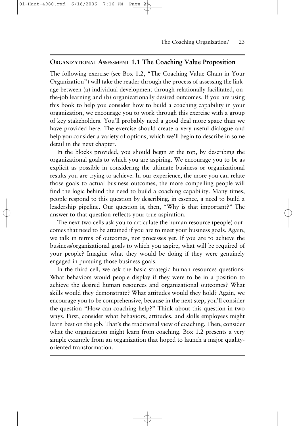01-Hunt-4980.qxd 6/16/2006

### **ORGANIZATIONAL ASSESSMENT 1.1 The Coaching Value Proposition**

The following exercise (see Box 1.2, "The Coaching Value Chain in Your Organization") will take the reader through the process of assessing the linkage between (a) individual development through relationally facilitated, onthe-job learning and (b) organizationally desired outcomes. If you are using this book to help you consider how to build a coaching capability in your organization, we encourage you to work through this exercise with a group of key stakeholders. You'll probably need a good deal more space than we have provided here. The exercise should create a very useful dialogue and help you consider a variety of options, which we'll begin to describe in some detail in the next chapter.

In the blocks provided, you should begin at the top, by describing the organizational goals to which you are aspiring. We encourage you to be as explicit as possible in considering the ultimate business or organizational results you are trying to achieve. In our experience, the more you can relate those goals to actual business outcomes, the more compelling people will find the logic behind the need to build a coaching capability. Many times, people respond to this question by describing, in essence, a need to build a leadership pipeline. Our question is, then, "Why is that important?" The answer to that question reflects your true aspiration.

The next two cells ask you to articulate the human resource (people) outcomes that need to be attained if you are to meet your business goals. Again, we talk in terms of outcomes, not processes yet. If you are to achieve the business/organizational goals to which you aspire, what will be required of your people? Imagine what they would be doing if they were genuinely engaged in pursuing those business goals.

In the third cell, we ask the basic strategic human resources questions: What behaviors would people display if they were to be in a position to achieve the desired human resources and organizational outcomes? What skills would they demonstrate? What attitudes would they hold? Again, we encourage you to be comprehensive, because in the next step, you'll consider the question "How can coaching help?" Think about this question in two ways. First, consider what behaviors, attitudes, and skills employees might learn best on the job. That's the traditional view of coaching. Then, consider what the organization might learn from coaching. Box 1.2 presents a very simple example from an organization that hoped to launch a major qualityoriented transformation.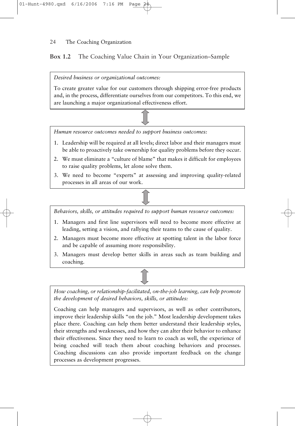**Box 1.2** The Coaching Value Chain in Your Organization–Sample

*Desired business or organizational outcomes:*

To create greater value for our customers through shipping error-free products and, in the process, differentiate ourselves from our competitors. To this end, we are launching a major organizational effectiveness effort.

*Human resource outcomes needed to support business outcomes:*

- 1. Leadership will be required at all levels; direct labor and their managers must be able to proactively take ownership for quality problems before they occur.
- 2. We must eliminate a "culture of blame" that makes it difficult for employees to raise quality problems, let alone solve them.
- 3. We need to become "experts" at assessing and improving quality-related processes in all areas of our work.

*Behaviors, skills, or attitudes required to support human resource outcomes:*

- 1. Managers and first line supervisors will need to become more effective at leading, setting a vision, and rallying their teams to the cause of quality.
- 2. Managers must become more effective at spotting talent in the labor force and be capable of assuming more responsibility.
- 3. Managers must develop better skills in areas such as team building and coaching.

*How coaching, or relationship-facilitated, on-the-job learning, can help promote the development of desired behaviors, skills, or attitudes:*

Coaching can help managers and supervisors, as well as other contributors, improve their leadership skills "on the job." Most leadership development takes place there. Coaching can help them better understand their leadership styles, their strengths and weaknesses, and how they can alter their behavior to enhance their effectiveness. Since they need to learn to coach as well, the experience of being coached will teach them about coaching behaviors and processes. Coaching discussions can also provide important feedback on the change processes as development progresses.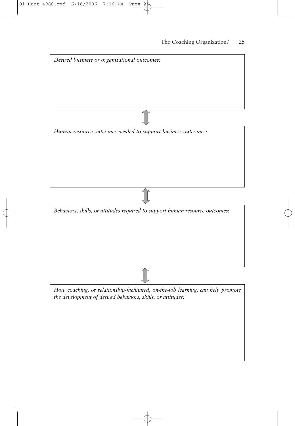